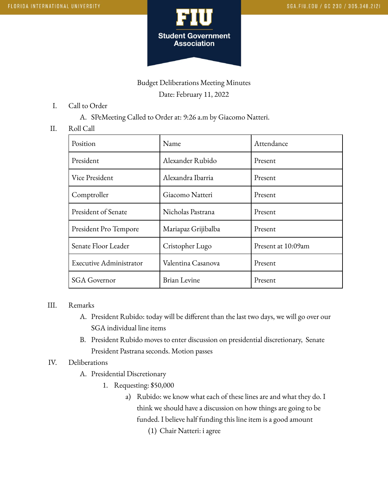

# Budget Deliberations Meeting Minutes Date: February 11, 2022

- I. Call to Order
	- A. SPeMeeting Called to Order at: 9:26 a.m by Giacomo Natteri.
- II. Roll Call

| Position                | Name                | Attendance         |
|-------------------------|---------------------|--------------------|
| President               | Alexander Rubido    | Present            |
| Vice President          | Alexandra Ibarria   | Present            |
| Comptroller             | Giacomo Natteri     | Present            |
| President of Senate     | Nicholas Pastrana   | Present            |
| President Pro Tempore   | Mariapaz Grijibalba | Present            |
| Senate Floor Leader     | Cristopher Lugo     | Present at 10:09am |
| Executive Administrator | Valentina Casanova  | Present            |
| <b>SGA</b> Governor     | Brian Levine        | Present            |

#### III. Remarks

- A. President Rubido: today will be different than the last two days, we will go over our SGA individual line items
- B. President Rubido moves to enter discussion on presidential discretionary, Senate President Pastrana seconds. Motion passes

# IV. Deliberations

- A. Presidential Discretionary
	- 1. Requesting: \$50,000
		- a) Rubido: we know what each of these lines are and what they do. I think we should have a discussion on how things are going to be funded. I believe half funding this line item is a good amount
			- (1) Chair Natteri: i agree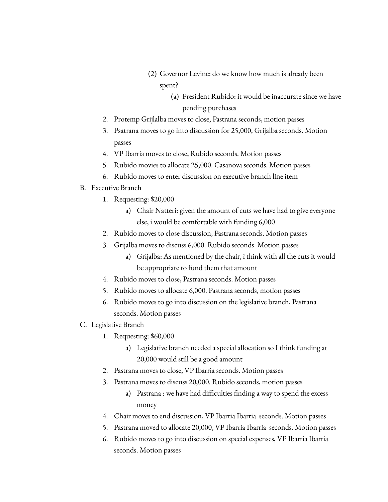- (2) Governor Levine: do we know how much is already been spent?
	- (a) President Rubido: it would be inaccurate since we have pending purchases
- 2. Protemp Grijlalba moves to close, Pastrana seconds, motion passes
- 3. Psatrana moves to go into discussion for 25,000, Grijalba seconds. Motion passes
- 4. VP Ibarria moves to close, Rubido seconds. Motion passes
- 5. Rubido movies to allocate 25,000. Casanova seconds. Motion passes
- 6. Rubido moves to enter discussion on executive branch line item
- B. Executive Branch
	- 1. Requesting: \$20,000
		- a) Chair Natteri: given the amount of cuts we have had to give everyone else, i would be comfortable with funding 6,000
	- 2. Rubido moves to close discussion, Pastrana seconds. Motion passes
	- 3. Grijalba moves to discuss 6,000. Rubido seconds. Motion passes
		- a) Grijalba: As mentioned by the chair, i think with all the cuts it would be appropriate to fund them that amount
	- 4. Rubido moves to close, Pastrana seconds. Motion passes
	- 5. Rubido moves to allocate 6,000. Pastrana seconds, motion passes
	- 6. Rubido moves to go into discussion on the legislative branch, Pastrana seconds. Motion passes
- C. Legislative Branch
	- 1. Requesting: \$60,000
		- a) Legislative branch needed a special allocation so I think funding at 20,000 would still be a good amount
	- 2. Pastrana moves to close, VP Ibarria seconds. Motion passes
	- 3. Pastrana moves to discuss 20,000. Rubido seconds, motion passes
		- a) Pastrana : we have had difficulties finding a way to spend the excess money
	- 4. Chair moves to end discussion, VP Ibarria Ibarria seconds. Motion passes
	- 5. Pastrana moved to allocate 20,000, VP Ibarria Ibarria seconds. Motion passes
	- 6. Rubido moves to go into discussion on special expenses, VP Ibarria Ibarria seconds. Motion passes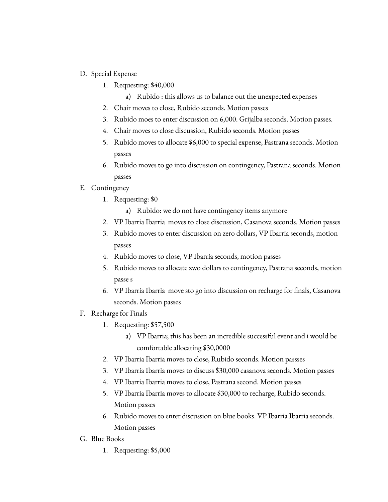- D. Special Expense
	- 1. Requesting: \$40,000
		- a) Rubido : this allows us to balance out the unexpected expenses
	- 2. Chair moves to close, Rubido seconds. Motion passes
	- 3. Rubido moes to enter discussion on 6,000. Grijalba seconds. Motion passes.
	- 4. Chair moves to close discussion, Rubido seconds. Motion passes
	- 5. Rubido moves to allocate \$6,000 to special expense, Pastrana seconds. Motion passes
	- 6. Rubido moves to go into discussion on contingency, Pastrana seconds. Motion passes

# E. Contingency

- 1. Requesting: \$0
	- a) Rubido: we do not have contingency items anymore
- 2. VP Ibarria Ibarria moves to close discussion, Casanova seconds. Motion passes
- 3. Rubido moves to enter discussion on zero dollars, VP Ibarria seconds, motion passes
- 4. Rubido moves to close, VP Ibarria seconds, motion passes
- 5. Rubido moves to allocate zwo dollars to contingency, Pastrana seconds, motion passe s
- 6. VP Ibarria Ibarria move sto go into discussion on recharge for finals, Casanova seconds. Motion passes
- F. Recharge for Finals
	- 1. Requesting: \$57,500
		- a) VP Ibarria; this has been an incredible successful event and i would be comfortable allocating \$30,0000
	- 2. VP Ibarria Ibarria moves to close, Rubido seconds. Motion passses
	- 3. VP Ibarria Ibarria moves to discuss \$30,000 casanova seconds. Motion passes
	- 4. VP Ibarria Ibarria moves to close, Pastrana second. Motion passes
	- 5. VP Ibarria Ibarria moves to allocate \$30,000 to recharge, Rubido seconds. Motion passes
	- 6. Rubido moves to enter discussion on blue books. VP Ibarria Ibarria seconds. Motion passes
- G. Blue Books
	- 1. Requesting: \$5,000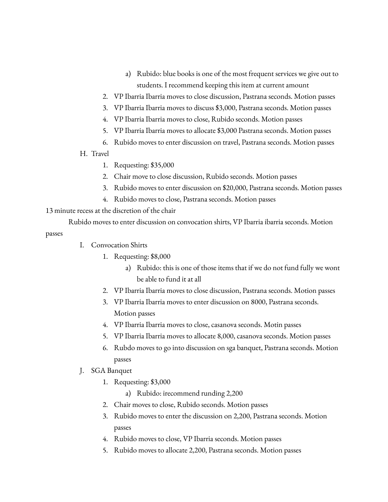- a) Rubido: blue books is one of the most frequent services we give out to students. I recommend keeping this item at current amount
- 2. VP Ibarria Ibarria moves to close discussion, Pastrana seconds. Motion passes
- 3. VP Ibarria Ibarria moves to discuss \$3,000, Pastrana seconds. Motion passes
- 4. VP Ibarria Ibarria moves to close, Rubido seconds. Motion passes
- 5. VP Ibarria Ibarria moves to allocate \$3,000 Pastrana seconds. Motion passes
- 6. Rubido moves to enter discussion on travel, Pastrana seconds. Motion passes
- H. Travel
	- 1. Requesting: \$35,000
	- 2. Chair move to close discussion, Rubido seconds. Motion passes
	- 3. Rubido moves to enter discussion on \$20,000, Pastrana seconds. Motion passes
	- 4. Rubido moves to close, Pastrana seconds. Motion passes

13 minute recess at the discretion of the chair

Rubido moves to enter discussion on convocation shirts, VP Ibarria ibarria seconds. Motion

passes

- I. Convocation Shirts
	- 1. Requesting: \$8,000
		- a) Rubido: this is one of those items that if we do not fund fully we wont be able to fund it at all
	- 2. VP Ibarria Ibarria moves to close discussion, Pastrana seconds. Motion passes
	- 3. VP Ibarria Ibarria moves to enter discussion on 8000, Pastrana seconds. Motion passes
	- 4. VP Ibarria Ibarria moves to close, casanova seconds. Motin passes
	- 5. VP Ibarria Ibarria moves to allocate 8,000, casanova seconds. Motion passes
	- 6. Rubdo moves to go into discussion on sga banquet, Pastrana seconds. Motion passes
- J. SGA Banquet
	- 1. Requesting: \$3,000
		- a) Rubido: irecommend runding 2,200
	- 2. Chair moves to close, Rubido seconds. Motion passes
	- 3. Rubido moves to enter the discussion on 2,200, Pastrana seconds. Motion passes
	- 4. Rubido moves to close, VP Ibarria seconds. Motion passes
	- 5. Rubido moves to allocate 2,200, Pastrana seconds. Motion passes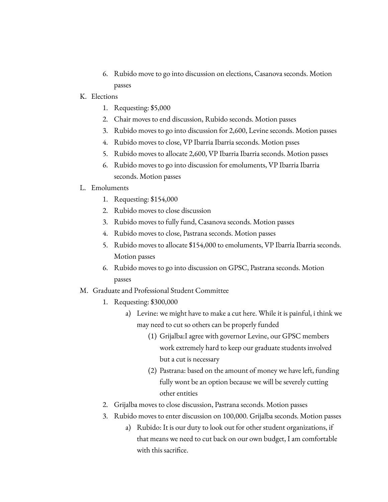- 6. Rubido move to go into discussion on elections, Casanova seconds. Motion passes
- K. Elections
	- 1. Requesting: \$5,000
	- 2. Chair moves to end discussion, Rubido seconds. Motion passes
	- 3. Rubido moves to go into discussion for 2,600, Levine seconds. Motion passes
	- 4. Rubido moves to close, VP Ibarria Ibarria seconds. Motion psses
	- 5. Rubido moves to allocate 2,600, VP Ibarria Ibarria seconds. Motion passes
	- 6. Rubido moves to go into discussion for emoluments, VP Ibarria Ibarria seconds. Motion passes

## L. Emoluments

- 1. Requesting: \$154,000
- 2. Rubido moves to close discussion
- 3. Rubido moves to fully fund, Casanova seconds. Motion passes
- 4. Rubido moves to close, Pastrana seconds. Motion passes
- 5. Rubido moves to allocate \$154,000 to emoluments, VP Ibarria Ibarria seconds. Motion passes
- 6. Rubido moves to go into discussion on GPSC, Pastrana seconds. Motion passes
- M. Graduate and Professional Student Committee
	- 1. Requesting: \$300,000
		- a) Levine: we might have to make a cut here. While it is painful, i think we may need to cut so others can be properly funded
			- (1) Grijalba:I agree with governor Levine, our GPSC members work extremely hard to keep our graduate students involved but a cut is necessary
			- (2) Pastrana: based on the amount of money we have left, funding fully wont be an option because we will be severely cutting other entities
	- 2. Grijalba moves to close discussion, Pastrana seconds. Motion passes
	- 3. Rubido moves to enter discussion on 100,000. Grijalba seconds. Motion passes
		- a) Rubido: It is our duty to look out for other student organizations, if that means we need to cut back on our own budget, I am comfortable with this sacrifice.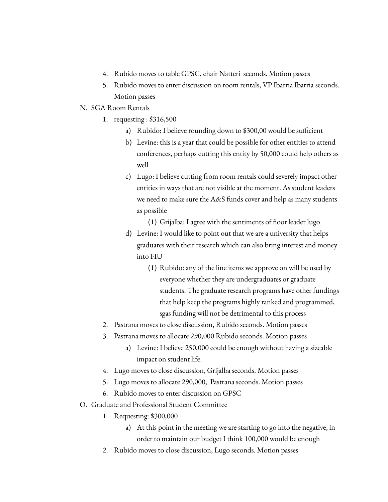- 4. Rubido moves to table GPSC, chair Natteri seconds. Motion passes
- 5. Rubido moves to enter discussion on room rentals, VP Ibarria Ibarria seconds. Motion passes
- N. SGA Room Rentals
	- 1. requesting : \$316,500
		- a) Rubido: I believe rounding down to \$300,00 would be sufficient
		- b) Levine: this is a year that could be possible for other entities to attend conferences, perhaps cutting this entity by 50,000 could help others as well
		- c) Lugo: I believe cutting from room rentals could severely impact other entities in ways that are not visible at the moment. As student leaders we need to make sure the A&S funds cover and help as many students as possible
			- (1) Grijalba: I agree with the sentiments of floor leader lugo
		- d) Levine: I would like to point out that we are a university that helps graduates with their research which can also bring interest and money into FIU
			- (1) Rubido: any of the line items we approve on will be used by everyone whether they are undergraduates or graduate students. The graduate research programs have other fundings that help keep the programs highly ranked and programmed, sgas funding will not be detrimental to this process
	- 2. Pastrana moves to close discussion, Rubido seconds. Motion passes
	- 3. Pastrana moves to allocate 290,000 Rubido seconds. Motion passes
		- a) Levine: I believe 250,000 could be enough without having a sizeable impact on student life.
	- 4. Lugo moves to close discussion, Grijalba seconds. Motion passes
	- 5. Lugo moves to allocate 290,000, Pastrana seconds. Motion passes
	- 6. Rubido moves to enter discussion on GPSC
- O. Graduate and Professional Student Committee
	- 1. Requesting: \$300,000
		- a) At this point in the meeting we are starting to go into the negative, in order to maintain our budget I think 100,000 would be enough
	- 2. Rubido moves to close discussion, Lugo seconds. Motion passes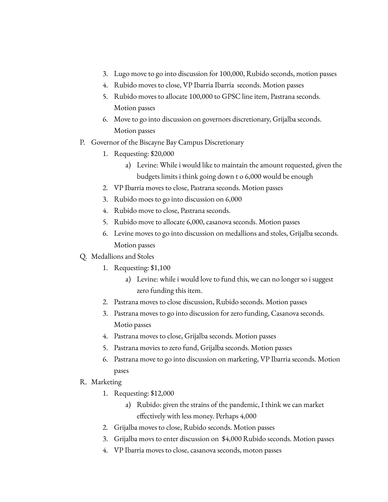- 3. Lugo move to go into discussion for 100,000, Rubido seconds, motion passes
- 4. Rubido moves to close, VP Ibarria Ibarria seconds. Motion passes
- 5. Rubido moves to allocate 100,000 to GPSC line item, Pastrana seconds. Motion passes
- 6. Move to go into discussion on governors discretionary, Grijalba seconds. Motion passes
- P. Governor of the Biscayne Bay Campus Discretionary
	- 1. Requesting: \$20,000
		- a) Levine: While i would like to maintain the amount requested, given the budgets limits i think going down t o 6,000 would be enough
	- 2. VP Ibarria moves to close, Pastrana seconds. Motion passes
	- 3. Rubido moes to go into discussion on 6,000
	- 4. Rubido move to close, Pastrana seconds.
	- 5. Rubido move to allocate 6,000, casanova seconds. Motion passes
	- 6. Levine moves to go into discussion on medallions and stoles, Grijalba seconds. Motion passes
- Q. Medallions and Stoles
	- 1. Requesting: \$1,100
		- a) Levine: while i would love to fund this, we can no longer so i suggest zero funding this item.
	- 2. Pastrana moves to close discussion, Rubido seconds. Motion passes
	- 3. Pastrana moves to go into discussion for zero funding, Casanova seconds. Motio passes
	- 4. Pastrana moves to close, Grijalba seconds. Motion passes
	- 5. Pastrana movies to zero fund, Grijalba seconds. Motion passes
	- 6. Pastrana move to go into discussion on marketing, VP Ibarria seconds. Motion pases
- R. Marketing
	- 1. Requesting: \$12,000
		- a) Rubido: given the strains of the pandemic, I think we can market effectively with less money. Perhaps 4,000
	- 2. Grijalba moves to close, Rubido seconds. Motion passes
	- 3. Grijalba movs to enter discussion on \$4,000 Rubido seconds. Motion passes
	- 4. VP Ibarria moves to close, casanova seconds, moton passes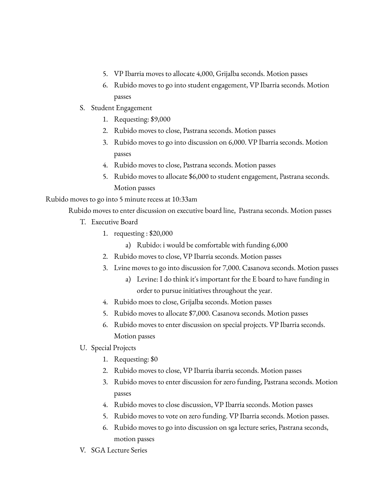- 5. VP Ibarria moves to allocate 4,000, Grijalba seconds. Motion passes
- 6. Rubido moves to go into student engagement, VP Ibarria seconds. Motion passes
- S. Student Engagement
	- 1. Requesting: \$9,000
	- 2. Rubido moves to close, Pastrana seconds. Motion passes
	- 3. Rubido moves to go into discussion on 6,000. VP Ibarria seconds. Motion passes
	- 4. Rubido moves to close, Pastrana seconds. Motion passes
	- 5. Rubido moves to allocate \$6,000 to student engagement, Pastrana seconds. Motion passes

Rubido moves to go into 5 minute recess at 10:33am

Rubido moves to enter discussion on executive board line, Pastrana seconds. Motion passes

- T. Executive Board
	- 1. requesting : \$20,000
		- a) Rubido: i would be comfortable with funding 6,000
	- 2. Rubido moves to close, VP Ibarria seconds. Motion passes
	- 3. Lvine moves to go into discussion for 7,000. Casanova seconds. Motion passes
		- a) Levine: I do think it's important for the E board to have funding in order to pursue initiatives throughout the year.
	- 4. Rubido moes to close, Grijalba seconds. Motion passes
	- 5. Rubido moves to allocate \$7,000. Casanova seconds. Motion passes
	- 6. Rubido moves to enter discussion on special projects. VP Ibarria seconds. Motion passes
- U. Special Projects
	- 1. Requesting: \$0
	- 2. Rubido moves to close, VP Ibarria ibarria seconds. Motion passes
	- 3. Rubido moves to enter discussion for zero funding, Pastrana seconds. Motion passes
	- 4. Rubido moves to close discussion, VP Ibarria seconds. Motion passes
	- 5. Rubido moves to vote on zero funding. VP Ibarria seconds. Motion passes.
	- 6. Rubido moves to go into discussion on sga lecture series, Pastrana seconds, motion passes
- V. SGA Lecture Series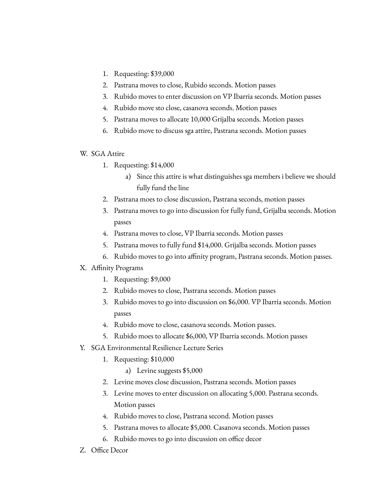- 1. Requesting: \$39,000
- 2. Pastrana moves to close, Rubido seconds. Motion passes
- 3. Rubido moves to enter discussion on VP Ibarria seconds. Motion passes
- 4. Rubido move sto close, casanova seconds. Motion passes
- 5. Pastrana moves to allocate 10,000 Grijalba seconds. Motion passes
- 6. Rubido move to discuss sga attire, Pastrana seconds. Motion passes

#### W. SGA Attire

- 1. Requesting: \$14,000
	- a) Since this attire is what distinguishes sga members i believe we should fully fund the line
- 2. Pastrana moes to close discussion, Pastrana seconds, motion passes
- 3. Pastrana moves to go into discussion for fully fund, Grijalba seconds. Motion passes
- 4. Pastrana moves to close, VP Ibarria seconds. Motion passes
- 5. Pastrana moves to fully fund \$14,000. Grijalba seconds. Motion passes
- 6. Rubido moves to go into affinity program, Pastrana seconds. Motion passes.

#### X. Affinity Programs

- 1. Requesting: \$9,000
- 2. Rubido moves to close, Pastrana seconds. Motion passes
- 3. Rubido moves to go into discussion on \$6,000. VP Ibarria seconds. Motion passes
- 4. Rubido move to close, casanova seconds. Motion passes.
- 5. Rubido moes to allocate \$6,000, VP Ibarria seconds. Motion passes
- Y. SGA Environmental Resilience Lecture Series
	- 1. Requesting: \$10,000
		- a) Levine suggests \$5,000
	- 2. Levine moves close discussion, Pastrana seconds. Motion passes
	- 3. Levine moves to enter discussion on allocating 5,000. Pastrana seconds. Motion passes
	- 4. Rubido moves to close, Pastrana second. Motion passes
	- 5. Pastrana moves to allocate \$5,000. Casanova seconds. Motion passes
	- 6. Rubido moves to go into discussion on office decor
- Z. Office Decor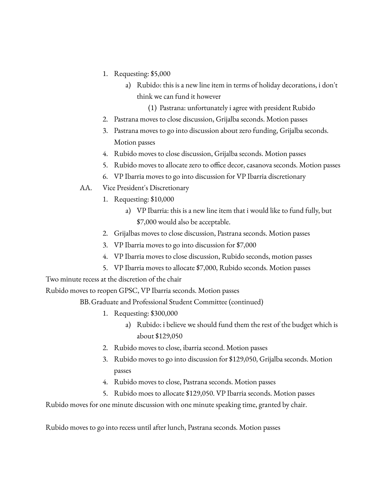- 1. Requesting: \$5,000
	- a) Rubido: this is a new line item in terms of holiday decorations, i don't think we can fund it however
		- (1) Pastrana: unfortunately i agree with president Rubido
- 2. Pastrana moves to close discussion, Grijalba seconds. Motion passes
- 3. Pastrana moves to go into discussion about zero funding, Grijalba seconds. Motion passes
- 4. Rubido moves to close discussion, Grijalba seconds. Motion passes
- 5. Rubido moves to allocate zero to office decor, casanova seconds. Motion passes
- 6. VP Ibarria moves to go into discussion for VP Ibarria discretionary
- AA. Vice President's Discretionary
	- 1. Requesting: \$10,000
		- a) VP Ibarria: this is a new line item that i would like to fund fully, but \$7,000 would also be acceptable.
	- 2. Grijalbas moves to close discussion, Pastrana seconds. Motion passes
	- 3. VP Ibarria moves to go into discussion for \$7,000
	- 4. VP Ibarria moves to close discussion, Rubido seconds, motion passes
	- 5. VP Ibarria moves to allocate \$7,000, Rubido seconds. Motion passes

Two minute recess at the discretion of the chair

Rubido moves to reopen GPSC, VP Ibarria seconds. Motion passes

BB.Graduate and Professional Student Committee (continued)

- 1. Requesting: \$300,000
	- a) Rubido: i believe we should fund them the rest of the budget which is about \$129,050
- 2. Rubido moves to close, ibarria second. Motion passes
- 3. Rubido moves to go into discussion for \$129,050, Grijalba seconds. Motion passes
- 4. Rubido moves to close, Pastrana seconds. Motion passes
- 5. Rubido moes to allocate \$129,050. VP Ibarria seconds. Motion passes

Rubido moves for one minute discussion with one minute speaking time, granted by chair.

Rubido moves to go into recess until after lunch, Pastrana seconds. Motion passes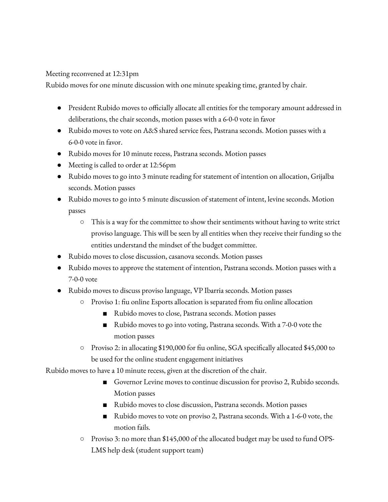### Meeting reconvened at 12:31pm

Rubido moves for one minute discussion with one minute speaking time, granted by chair.

- President Rubido moves to officially allocate all entities for the temporary amount addressed in deliberations, the chair seconds, motion passes with a 6-0-0 vote in favor
- Rubido moves to vote on A&S shared service fees, Pastrana seconds. Motion passes with a 6-0-0 vote in favor.
- Rubido moves for 10 minute recess, Pastrana seconds. Motion passes
- Meeting is called to order at 12:56pm
- Rubido moves to go into 3 minute reading for statement of intention on allocation, Grijalba seconds. Motion passes
- Rubido moves to go into 5 minute discussion of statement of intent, levine seconds. Motion passes
	- This is a way for the committee to show their sentiments without having to write strict proviso language. This will be seen by all entities when they receive their funding so the entities understand the mindset of the budget committee.
- Rubido moves to close discussion, casanova seconds. Motion passes
- Rubido moves to approve the statement of intention, Pastrana seconds. Motion passes with a 7-0-0 vote
- Rubido moves to discuss proviso language, VP Ibarria seconds. Motion passes
	- Proviso 1: fiu online Esports allocation is separated from fiu online allocation
		- Rubido moves to close, Pastrana seconds. Motion passes
		- Rubido moves to go into voting, Pastrana seconds. With a 7-0-0 vote the motion passes
	- Proviso 2: in allocating \$190,000 for fiu online, SGA specifically allocated \$45,000 to be used for the online student engagement initiatives

Rubido moves to have a 10 minute recess, given at the discretion of the chair.

- Governor Levine moves to continue discussion for proviso 2, Rubido seconds. Motion passes
- Rubido moves to close discussion, Pastrana seconds. Motion passes
- Rubido moves to vote on proviso 2, Pastrana seconds. With a 1-6-0 vote, the motion fails.
- Proviso 3: no more than \$145,000 of the allocated budget may be used to fund OPS-LMS help desk (student support team)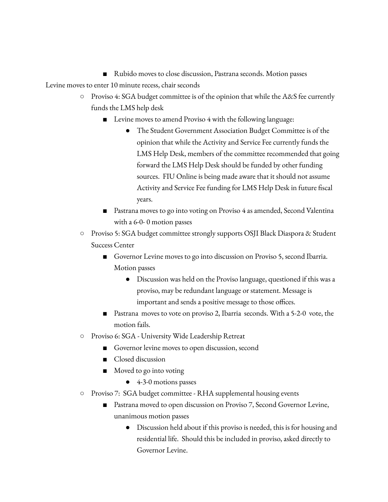■ Rubido moves to close discussion, Pastrana seconds. Motion passes

Levine moves to enter 10 minute recess, chair seconds

- Proviso 4: SGA budget committee is of the opinion that while the A&S fee currently funds the LMS help desk
	- Levine moves to amend Proviso 4 with the following language:
		- The Student Government Association Budget Committee is of the opinion that while the Activity and Service Fee currently funds the LMS Help Desk, members of the committee recommended that going forward the LMS Help Desk should be funded by other funding sources. FIU Online is being made aware that it should not assume Activity and Service Fee funding for LMS Help Desk in future fiscal years.
	- Pastrana moves to go into voting on Proviso 4 as amended, Second Valentina with a 6-0- 0 motion passes
- Proviso 5: SGA budget committee strongly supports OSJI Black Diaspora & Student Success Center
	- Governor Levine moves to go into discussion on Proviso 5, second Ibarria. Motion passes
		- Discussion was held on the Proviso language, questioned if this was a proviso, may be redundant language or statement. Message is important and sends a positive message to those offices.
	- Pastrana moves to vote on proviso 2, Ibarria seconds. With a 5-2-0 vote, the motion fails.
- Proviso 6: SGA University Wide Leadership Retreat
	- Governor levine moves to open discussion, second
	- Closed discussion
	- Moved to go into voting
		- 4-3-0 motions passes
- Proviso 7: SGA budget committee RHA supplemental housing events
	- Pastrana moved to open discussion on Proviso 7, Second Governor Levine, unanimous motion passes
		- Discussion held about if this proviso is needed, this is for housing and residential life. Should this be included in proviso, asked directly to Governor Levine.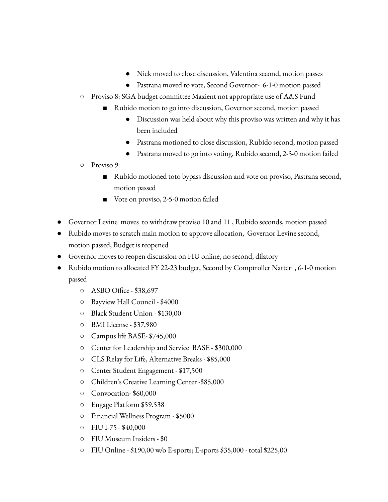- Nick moved to close discussion, Valentina second, motion passes
- Pastrana moved to vote, Second Governor- 6-1-0 motion passed
- Proviso 8: SGA budget committee Maxient not appropriate use of A&S Fund
	- Rubido motion to go into discussion, Governor second, motion passed
		- Discussion was held about why this proviso was written and why it has been included
		- Pastrana motioned to close discussion, Rubido second, motion passed
		- Pastrana moved to go into voting, Rubido second, 2-5-0 motion failed
- Proviso 9:
	- Rubido motioned toto bypass discussion and vote on proviso, Pastrana second, motion passed
	- Vote on proviso, 2-5-0 motion failed
- Governor Levine moves to withdraw proviso 10 and 11 , Rubido seconds, motion passed
- Rubido moves to scratch main motion to approve allocation, Governor Levine second, motion passed, Budget is reopened
- Governor moves to reopen discussion on FIU online, no second, dilatory
- Rubido motion to allocated FY 22-23 budget, Second by Comptroller Natteri, 6-1-0 motion passed
	- ASBO Office \$38,697
	- Bayview Hall Council \$4000
	- Black Student Union \$130,00
	- BMI License \$37,980
	- Campus life BASE- \$745,000
	- Center for Leadership and Service BASE \$300,000
	- CLS Relay for Life, Alternative Breaks \$85,000
	- Center Student Engagement \$17,500
	- Children's Creative Learning Center -\$85,000
	- Convocation- \$60,000
	- Engage Platform \$59.538
	- Financial Wellness Program \$5000
	- FIU I-75 \$40,000
	- FIU Museum Insiders \$0
	- FIU Online \$190,00 w/o E-sports; E-sports \$35,000 total \$225,00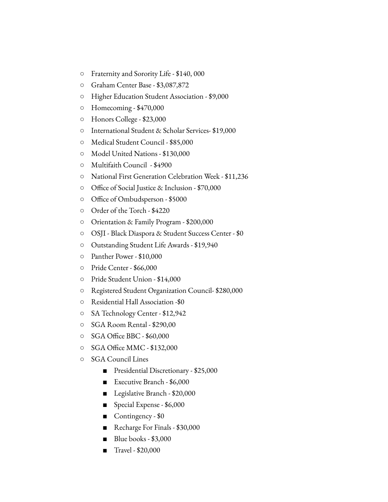- Fraternity and Sorority Life \$140, 000
- Graham Center Base \$3,087,872
- Higher Education Student Association \$9,000
- Homecoming \$470,000
- Honors College \$23,000
- International Student & Scholar Services- \$19,000
- Medical Student Council \$85,000
- Model United Nations \$130,000
- Multifaith Council \$4900
- National First Generation Celebration Week \$11,236
- Office of Social Justice & Inclusion \$70,000
- Office of Ombudsperson \$5000
- Order of the Torch \$4220
- Orientation & Family Program \$200,000
- OSJI Black Diaspora & Student Success Center \$0
- Outstanding Student Life Awards \$19,940
- Panther Power \$10,000
- Pride Center \$66,000
- Pride Student Union \$14,000
- Registered Student Organization Council- \$280,000
- Residential Hall Association -\$0
- SA Technology Center \$12,942
- SGA Room Rental \$290,00
- SGA Office BBC \$60,000
- SGA Office MMC \$132,000
- SGA Council Lines
	- Presidential Discretionary \$25,000
	- Executive Branch \$6,000
	- Legislative Branch \$20,000
	- Special Expense \$6,000
	- Contingency \$0
	- Recharge For Finals \$30,000
	- Blue books \$3,000
	- Travel \$20,000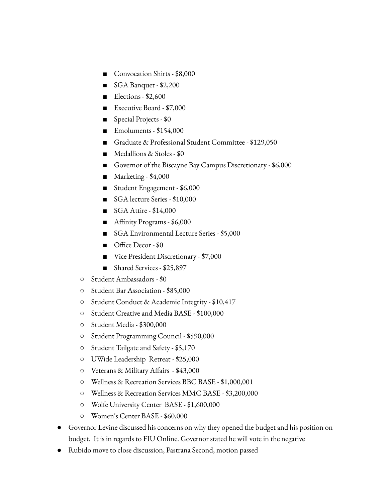- Convocation Shirts \$8,000
- SGA Banquet \$2,200
- Elections \$2,600
- Executive Board \$7,000
- Special Projects \$0
- Emoluments \$154,000
- Graduate & Professional Student Committee \$129,050
- Medallions & Stoles \$0
- Governor of the Biscayne Bay Campus Discretionary \$6,000
- Marketing \$4,000
- Student Engagement \$6,000
- SGA lecture Series \$10,000
- $\blacksquare$  SGA Attire \$14,000
- Affinity Programs \$6,000
- SGA Environmental Lecture Series \$5,000
- Office Decor \$0
- Vice President Discretionary \$7,000
- Shared Services \$25,897
- Student Ambassadors \$0
- Student Bar Association \$85,000
- Student Conduct & Academic Integrity \$10,417
- Student Creative and Media BASE \$100,000
- Student Media \$300,000
- Student Programming Council \$590,000
- Student Tailgate and Safety \$5,170
- UWide Leadership Retreat \$25,000
- Veterans & Military Affairs \$43,000
- Wellness & Recreation Services BBC BASE \$1,000,001
- Wellness & Recreation Services MMC BASE \$3,200,000
- Wolfe University Center BASE \$1,600,000
- Women's Center BASE \$60,000
- Governor Levine discussed his concerns on why they opened the budget and his position on budget. It is in regards to FIU Online. Governor stated he will vote in the negative
- Rubido move to close discussion, Pastrana Second, motion passed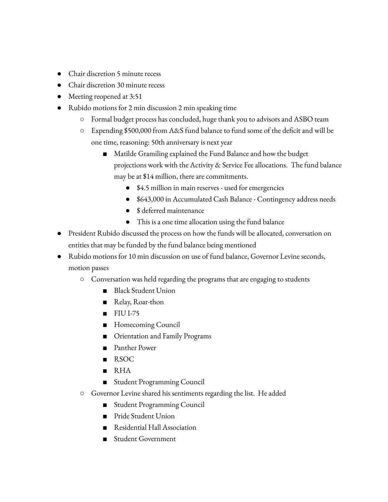- Chair discretion 5 minute recess
- Chair discretion 30 minute recess
- Meeting reopened at 3:51
- Rubido motions for 2 min discussion 2 min speaking time
	- Formal budget process has concluded, huge thank you to advisors and ASBO team
	- Expending \$500,000 from A&S fund balance to fund some of the deficit and will be one time, reasoning: 50th anniversary is next year
		- Matilde Gramiling explained the Fund Balance and how the budget projections work with the Activity & Service Fee allocations. The fund balance may be at \$14 million, there are commitments.
			- \$4.5 million in main reserves used for emergencies
			- \$643,000 in Accumulated Cash Balance Contingency address needs
			- \$ deferred maintenance
			- This is a one time allocation using the fund balance
- President Rubido discussed the process on how the funds will be allocated, conversation on entities that may be funded by the fund balance being mentioned
- Rubido motions for 10 min discussion on use of fund balance, Governor Levine seconds, motion passes
	- Conversation was held regarding the programs that are engaging to students
		- Black Student Union
		- Relay, Roar-thon
		- FIU I-75
		- Homecoming Council
		- Orientation and Family Programs
		- Panther Power
		- RSOC
		- RHA
		- Student Programming Council
	- Governor Levine shared his sentiments regarding the list. He added
		- Student Programming Council
		- Pride Student Union
		- Residential Hall Association
		- Student Government